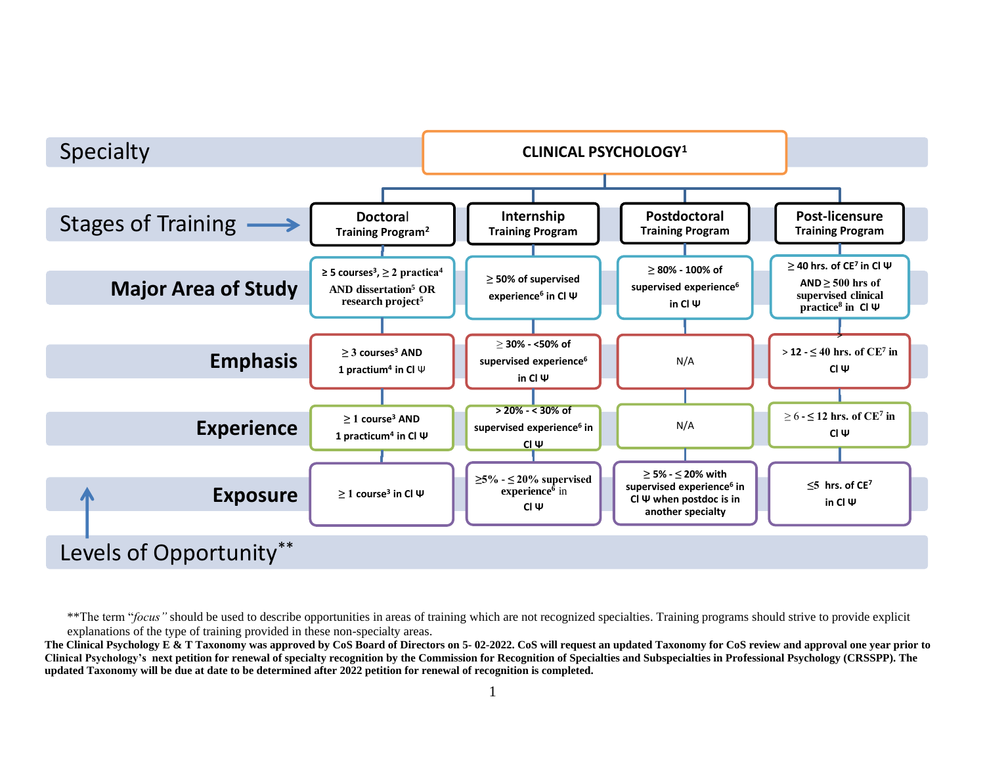

\*\*The term "*focus*" should be used to describe opportunities in areas of training which are not recognized specialties. Training programs should strive to provide explicit explanations of the type of training provided in these non-specialty areas.

**The Clinical Psychology E & T Taxonomy was approved by CoS Board of Directors on 5- 02-2022. CoS will request an updated Taxonomy for CoS review and approval one year prior to Clinical Psychology's next petition for renewal of specialty recognition by the Commission for Recognition of Specialties and Subspecialties in Professional Psychology (CRSSPP). The updated Taxonomy will be due at date to be determined after 2022 petition for renewal of recognition is completed.**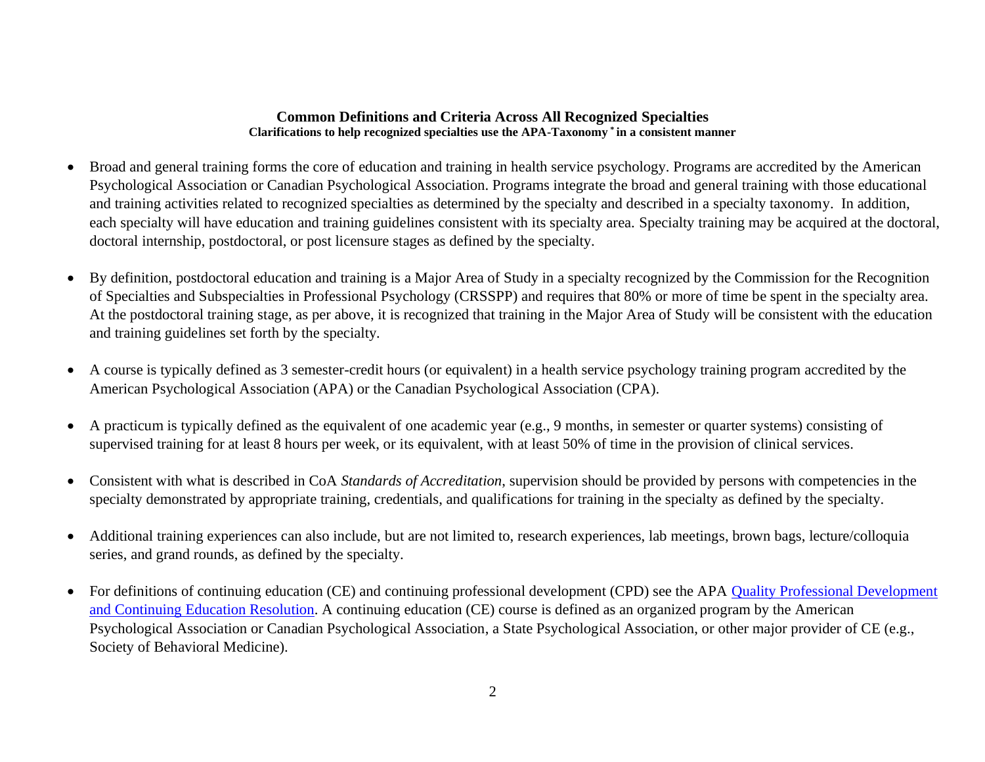### **Common Definitions and Criteria Across All Recognized Specialties Clarifications to help recognized specialties use the APA-Taxonomy \* in a consistent manner**

- Broad and general training forms the core of education and training in health service psychology. Programs are accredited by the American Psychological Association or Canadian Psychological Association. Programs integrate the broad and general training with those educational and training activities related to recognized specialties as determined by the specialty and described in a specialty taxonomy. In addition, each specialty will have education and training guidelines consistent with its specialty area. Specialty training may be acquired at the doctoral, doctoral internship, postdoctoral, or post licensure stages as defined by the specialty.
- By definition, postdoctoral education and training is a Major Area of Study in a specialty recognized by the Commission for the Recognition of Specialties and Subspecialties in Professional Psychology (CRSSPP) and requires that 80% or more of time be spent in the specialty area. At the postdoctoral training stage, as per above, it is recognized that training in the Major Area of Study will be consistent with the education and training guidelines set forth by the specialty*.*
- A course is typically defined as 3 semester-credit hours (or equivalent) in a health service psychology training program accredited by the American Psychological Association (APA) or the Canadian Psychological Association (CPA).
- A practicum is typically defined as the equivalent of one academic year (e.g., 9 months, in semester or quarter systems) consisting of supervised training for at least 8 hours per week, or its equivalent, with at least 50% of time in the provision of clinical services.
- Consistent with what is described in CoA *Standards of Accreditation*, supervision should be provided by persons with competencies in the specialty demonstrated by appropriate training, credentials, and qualifications for training in the specialty as defined by the specialty.
- Additional training experiences can also include, but are not limited to, research experiences, lab meetings, brown bags, lecture/colloquia series, and grand rounds, as defined by the specialty.
- For definitions of continuing education (CE) and continuing professional development (CPD) see the APA Quality Professional Development [and Continuing Education Resolution.](https://www.apa.org/about/policy/improving-quality) A continuing education (CE) course is defined as an organized program by the American Psychological Association or Canadian Psychological Association, a State Psychological Association, or other major provider of CE (e.g., Society of Behavioral Medicine).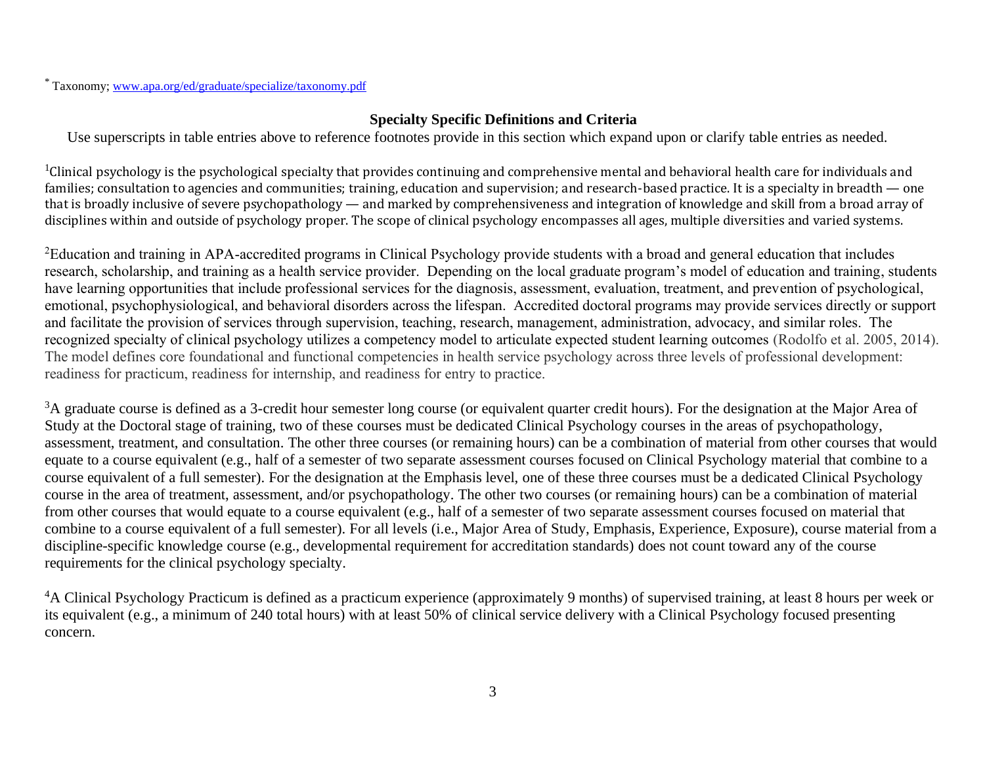# **Specialty Specific Definitions and Criteria**

Use superscripts in table entries above to reference footnotes provide in this section which expand upon or clarify table entries as needed.

 $1$ Clinical psychology is the psychological specialty that provides continuing and comprehensive mental and behavioral health care for individuals and families; consultation to agencies and communities; training, education and supervision; and research-based practice. It is a specialty in breadth — one that is broadly inclusive of severe psychopathology — and marked by comprehensiveness and integration of knowledge and skill from a broad array of disciplines within and outside of psychology proper. The scope of clinical psychology encompasses all ages, multiple diversities and varied systems.

<sup>2</sup>Education and training in APA-accredited programs in Clinical Psychology provide students with a broad and general education that includes research, scholarship, and training as a health service provider. Depending on the local graduate program's model of education and training, students have learning opportunities that include professional services for the diagnosis, assessment, evaluation, treatment, and prevention of psychological, emotional, psychophysiological, and behavioral disorders across the lifespan. Accredited doctoral programs may provide services directly or support and facilitate the provision of services through supervision, teaching, research, management, administration, advocacy, and similar roles. The recognized specialty of clinical psychology utilizes a competency model to articulate expected student learning outcomes (Rodolfo et al. 2005, 2014). The model defines core foundational and functional competencies in health service psychology across three levels of professional development: readiness for practicum, readiness for internship, and readiness for entry to practice.

<sup>3</sup>A graduate course is defined as a 3-credit hour semester long course (or equivalent quarter credit hours). For the designation at the Major Area of Study at the Doctoral stage of training, two of these courses must be dedicated Clinical Psychology courses in the areas of psychopathology, assessment, treatment, and consultation. The other three courses (or remaining hours) can be a combination of material from other courses that would equate to a course equivalent (e.g., half of a semester of two separate assessment courses focused on Clinical Psychology material that combine to a course equivalent of a full semester). For the designation at the Emphasis level, one of these three courses must be a dedicated Clinical Psychology course in the area of treatment, assessment, and/or psychopathology. The other two courses (or remaining hours) can be a combination of material from other courses that would equate to a course equivalent (e.g., half of a semester of two separate assessment courses focused on material that combine to a course equivalent of a full semester). For all levels (i.e., Major Area of Study, Emphasis, Experience, Exposure), course material from a discipline-specific knowledge course (e.g., developmental requirement for accreditation standards) does not count toward any of the course requirements for the clinical psychology specialty.

<sup>4</sup>A Clinical Psychology Practicum is defined as a practicum experience (approximately 9 months) of supervised training, at least 8 hours per week or its equivalent (e.g., a minimum of 240 total hours) with at least 50% of clinical service delivery with a Clinical Psychology focused presenting concern.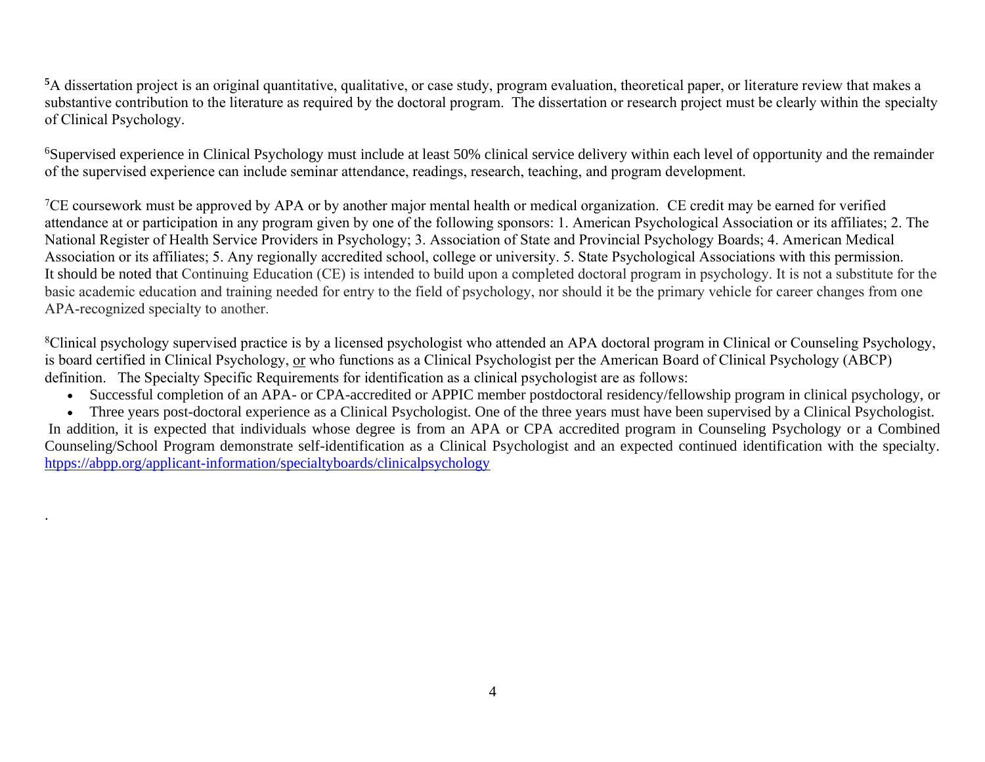**<sup>5</sup>**A dissertation project is an original quantitative, qualitative, or case study, program evaluation, theoretical paper, or literature review that makes a substantive contribution to the literature as required by the doctoral program. The dissertation or research project must be clearly within the specialty of Clinical Psychology.

<sup>6</sup>Supervised experience in Clinical Psychology must include at least 50% clinical service delivery within each level of opportunity and the remainder of the supervised experience can include seminar attendance, readings, research, teaching, and program development.

 ${}^{7}$ CE coursework must be approved by APA or by another major mental health or medical organization. CE credit may be earned for verified attendance at or participation in any program given by one of the following sponsors: 1. American Psychological Association or its affiliates; 2. The National Register of Health Service Providers in Psychology; 3. Association of State and Provincial Psychology Boards; 4. American Medical Association or its affiliates; 5. Any regionally accredited school, college or university. 5. State Psychological Associations with this permission. It should be noted that Continuing Education (CE) is intended to build upon a completed doctoral program in psychology. It is not a substitute for the basic academic education and training needed for entry to the field of psychology, nor should it be the primary vehicle for career changes from one APA-recognized specialty to another.

<sup>8</sup>Clinical psychology supervised practice is by a licensed psychologist who attended an APA doctoral program in Clinical or Counseling Psychology, is board certified in Clinical Psychology, or who functions as a Clinical Psychologist per the American Board of Clinical Psychology (ABCP) definition. The Specialty Specific Requirements for identification as a clinical psychologist are as follows:

- Successful completion of an APA- or CPA-accredited or APPIC member postdoctoral residency/fellowship program in clinical psychology, or
- Three years post-doctoral experience as a Clinical Psychologist. One of the three years must have been supervised by a Clinical Psychologist.

In addition, it is expected that individuals whose degree is from an APA or CPA accredited program in Counseling Psychology or a Combined Counseling/School Program demonstrate self-identification as a Clinical Psychologist and an expected continued identification with the specialty. <htpps://abpp.org/applicant-information/specialtyboards/clinicalpsychology>

.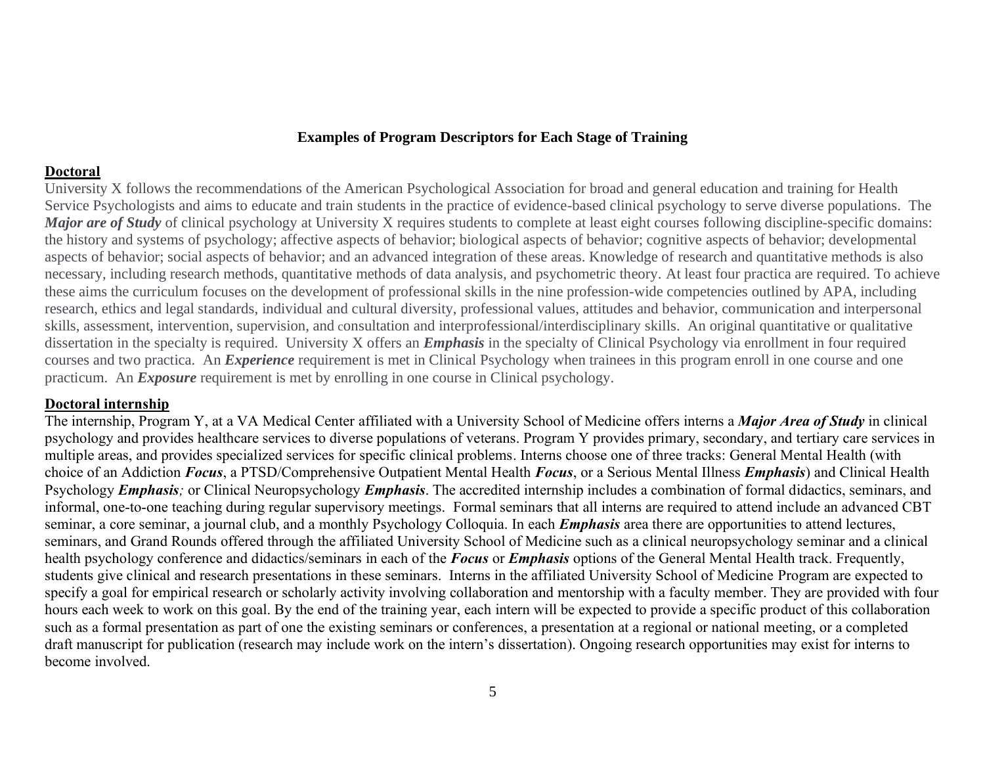#### **Examples of Program Descriptors for Each Stage of Training**

#### **Doctoral**

University X follows the recommendations of the American Psychological Association for broad and general education and training for Health Service Psychologists and aims to educate and train students in the practice of evidence-based clinical psychology to serve diverse populations. The *Major are of Study* of clinical psychology at University X requires students to complete at least eight courses following discipline-specific domains: the history and systems of psychology; affective aspects of behavior; biological aspects of behavior; cognitive aspects of behavior; developmental aspects of behavior; social aspects of behavior; and an advanced integration of these areas. Knowledge of research and quantitative methods is also necessary, including research methods, quantitative methods of data analysis, and psychometric theory. At least four practica are required. To achieve these aims the curriculum focuses on the development of professional skills in the nine profession-wide competencies outlined by APA, including research, ethics and legal standards, individual and cultural diversity, professional values, attitudes and behavior, communication and interpersonal skills, assessment, intervention, supervision, and consultation and interprofessional/interdisciplinary skills. An original quantitative or qualitative dissertation in the specialty is required. University X offers an *Emphasis* in the specialty of Clinical Psychology via enrollment in four required courses and two practica. An *Experience* requirement is met in Clinical Psychology when trainees in this program enroll in one course and one practicum. An *Exposure* requirement is met by enrolling in one course in Clinical psychology.

#### **Doctoral internship**

The internship, Program Y, at a VA Medical Center affiliated with a University School of Medicine offers interns a *Major Area of Study* in clinical psychology and provides healthcare services to diverse populations of veterans. Program Y provides primary, secondary, and tertiary care services in multiple areas, and provides specialized services for specific clinical problems. Interns choose one of three tracks: General Mental Health (with choice of an Addiction *Focus*, a PTSD/Comprehensive Outpatient Mental Health *Focus*, or a Serious Mental Illness *Emphasis*) and Clinical Health Psychology *Emphasis;* or Clinical Neuropsychology *Emphasis*. The accredited internship includes a combination of formal didactics, seminars, and informal, one-to-one teaching during regular supervisory meetings. Formal seminars that all interns are required to attend include an advanced CBT seminar, a core seminar, a journal club, and a monthly Psychology Colloquia. In each *Emphasis* area there are opportunities to attend lectures, seminars, and Grand Rounds offered through the affiliated University School of Medicine such as a clinical neuropsychology seminar and a clinical health psychology conference and didactics/seminars in each of the *Focus* or *Emphasis* options of the General Mental Health track. Frequently, students give clinical and research presentations in these seminars. Interns in the affiliated University School of Medicine Program are expected to specify a goal for empirical research or scholarly activity involving collaboration and mentorship with a faculty member. They are provided with four hours each week to work on this goal. By the end of the training year, each intern will be expected to provide a specific product of this collaboration such as a formal presentation as part of one the existing seminars or conferences, a presentation at a regional or national meeting, or a completed draft manuscript for publication (research may include work on the intern's dissertation). Ongoing research opportunities may exist for interns to become involved.